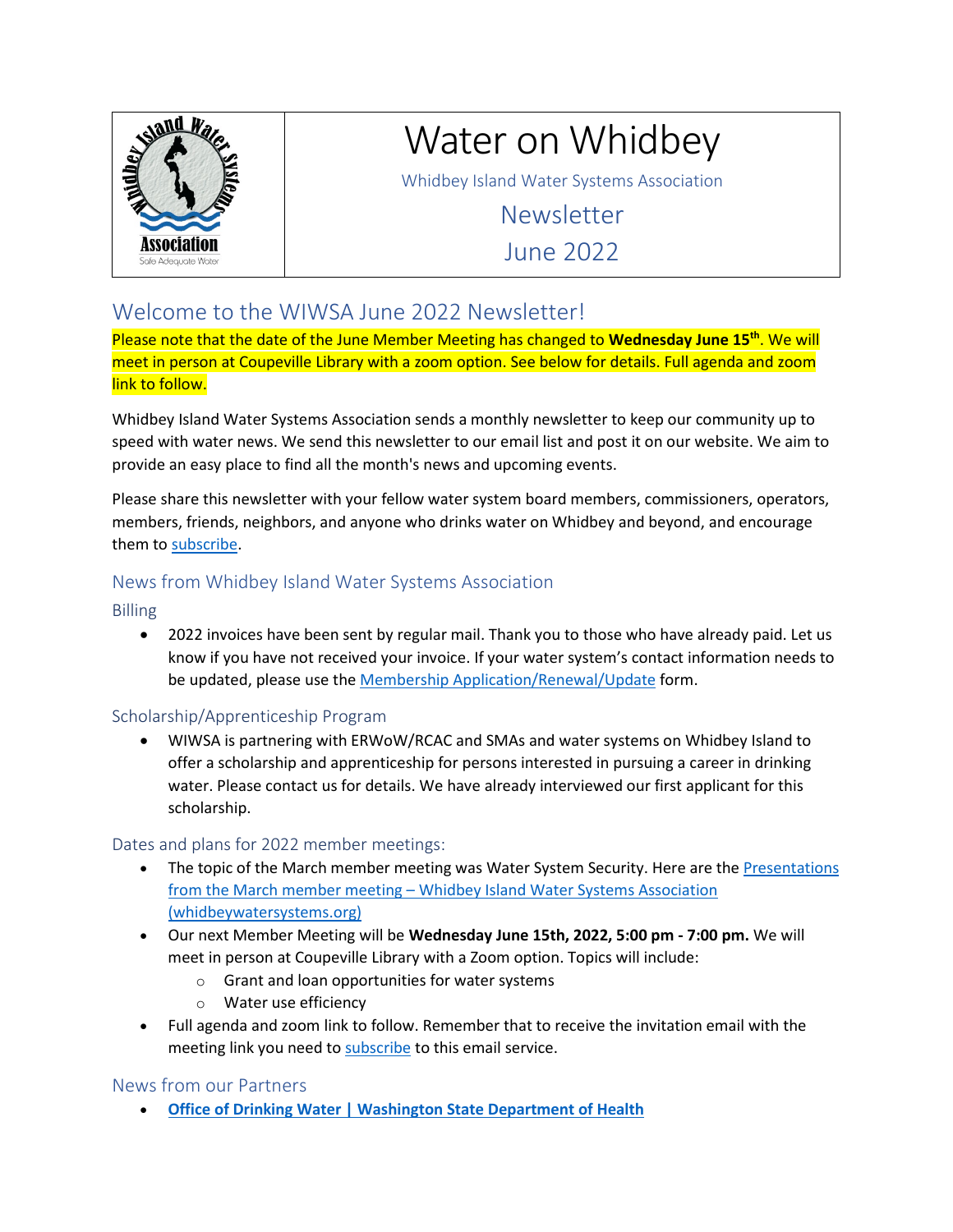

# Water on Whidbey

Whidbey Island Water Systems Association

Newsletter June 2022

## Welcome to the WIWSA June 2022 Newsletter!

Please note that the date of the June Member Meeting has changed to **Wednesday June 15th**. We will meet in person at Coupeville Library with a zoom option. See below for details. Full agenda and zoom link to follow.

Whidbey Island Water Systems Association sends a monthly newsletter to keep our community up to speed with water news. We send this newsletter to our email list and post it on our website. We aim to provide an easy place to find all the month's news and upcoming events.

Please share this newsletter with your fellow water system board members, commissioners, operators, members, friends, neighbors, and anyone who drinks water on Whidbey and beyond, and encourage them to [subscribe.](http://www.whidbeywatersystems.org/?mailmunch_preview=904710)

## News from Whidbey Island Water Systems Association

Billing

• 2022 invoices have been sent by regular mail. Thank you to those who have already paid. Let us know if you have not received your invoice. If your water system's contact information needs to be updated, please use the [Membership Application/Renewal/Update](http://www.whidbeywatersystems.org/wp-content/uploads/2016/01/WIWSA-MemberAppRenewalUpdate.pdf) form.

## Scholarship/Apprenticeship Program

• WIWSA is partnering with ERWoW/RCAC and SMAs and water systems on Whidbey Island to offer a scholarship and apprenticeship for persons interested in pursuing a career in drinking water. Please contact us for details. We have already interviewed our first applicant for this scholarship.

## Dates and plans for 2022 member meetings:

- The topic of the March member meeting was Water System Security. Here are the Presentations [from the March member meeting – Whidbey Island Water Systems Association](http://www.whidbeywatersystems.org/2022/04/18/presentations-from-march-member-meeting/)  [\(whidbeywatersystems.org\)](http://www.whidbeywatersystems.org/2022/04/18/presentations-from-march-member-meeting/)
- Our next Member Meeting will be **Wednesday June 15th, 2022, 5:00 pm 7:00 pm.** We will meet in person at Coupeville Library with a Zoom option. Topics will include:
	- o Grant and loan opportunities for water systems
	- o Water use efficiency
- Full agenda and zoom link to follow. Remember that to receive the invitation email with the meeting link you need t[o subscribe](http://www.whidbeywatersystems.org/?mailmunch_preview=904710) to this email service.

## News from our Partners

• **[Office of Drinking Water | Washington State Department of Health](https://doh.wa.gov/about-us/programs-and-services/environmental-public-health/office-drinking-water)**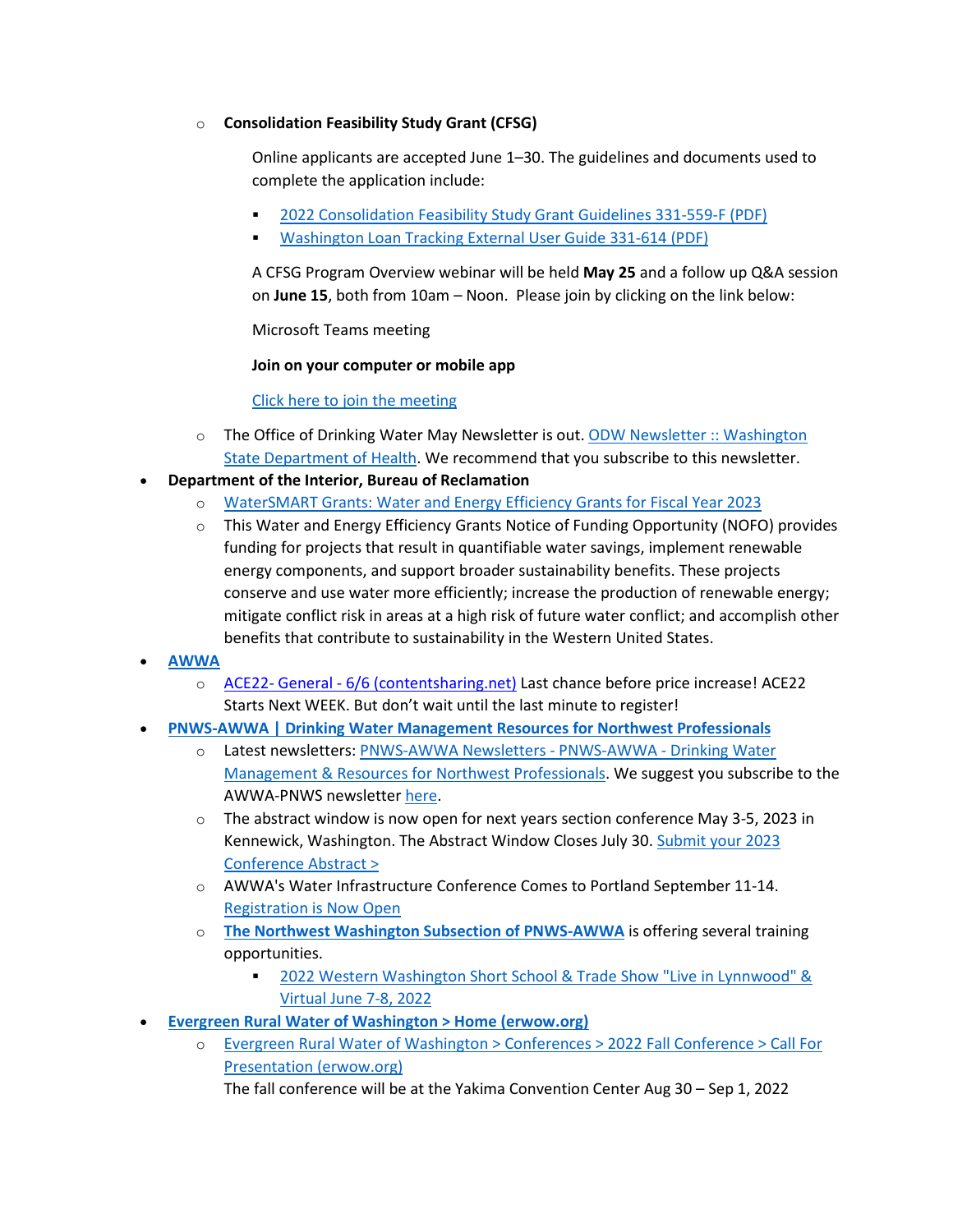#### o **Consolidation Feasibility Study Grant (CFSG)**

Online applicants are accepted June 1–30. The guidelines and documents used to complete the application include:

- [2022 Consolidation Feasibility Study Grant Guidelines 331-559-F \(PDF\)](https://doh.wa.gov/sites/default/files/2022-05/331-559-F.pdf)
- [Washington Loan Tracking External User Guide 331-614 \(PDF\)](https://doh.wa.gov/sites/default/files/2022-05/331-614_1.pdf)

A CFSG Program Overview webinar will be held **May 25** and a follow up Q&A session on **June 15**, both from 10am – Noon. Please join by clicking on the link below:

Microsoft Teams meeting

**Join on your computer or mobile app**

[Click here to join the meeting](https://teams.microsoft.com/l/meetup-join/19%3ameeting_MjUyZGFkMjgtMzllZC00MTY0LWI1MTQtODFkMWNiMjgzZWRi%40thread.v2/0?context=%7b%22Tid%22%3a%2211d0e217-264e-400a-8ba0-57dcc127d72d%22%2c%22Oid%22%3a%2264c90b90-4bd6-43f9-b8dc-5d687503461c%22%7d)

- o The Office of Drinking Water May Newsletter is out. [ODW Newsletter :: Washington](https://www.doh.wa.gov/CommunityandEnvironment/DrinkingWater/ODWNewsletter)  [State Department of Health.](https://www.doh.wa.gov/CommunityandEnvironment/DrinkingWater/ODWNewsletter) We recommend that you subscribe to this newsletter.
- **Department of the Interior, Bureau of Reclamation**
	- o [WaterSMART Grants: Water and Energy Efficiency Grants for Fiscal Year 2023](https://www.grants.gov/web/grants/search-grants.html?keywords=R23AS00008&utm_content=&utm_medium=email&utm_name=&utm_source=govdelivery&utm_term=)
	- $\circ$  This Water and Energy Efficiency Grants Notice of Funding Opportunity (NOFO) provides funding for projects that result in quantifiable water savings, implement renewable energy components, and support broader sustainability benefits. These projects conserve and use water more efficiently; increase the production of renewable energy; mitigate conflict risk in areas at a high risk of future water conflict; and accomplish other benefits that contribute to sustainability in the Western United States.
- **[AWWA](https://www.awwa.org/)** 
	- o [ACE22- General 6/6 \(contentsharing.net\)](https://contentsharing.net/actions/email_web_version.cfm?ep=4KtPyg9uxKGJCmj4D88bPKZX8pGTaSMtWogD3WIMGG-pqlaAwqlDWnfkPhXZkjKmLVEHIFzVwN81ttFcVgDeweJezVA3mu9vx9ObnQ09mVkYq6SnYEO2v5neJ1G5l433) Last chance before price increase! ACE22 Starts Next WEEK. But don't wait until the last minute to register!
- **[PNWS-AWWA | Drinking Water Management Resources for Northwest Professionals](https://www.pnws-awwa.org/)**
	- Latest newsletters: PNWS-AWWA Newsletters PNWS-AWWA Drinking Water [Management & Resources for Northwest Professionals.](https://www.pnws-awwa.org/resources/newsletters/) We suggest you subscribe to the AWWA-PNWS newslette[r here.](https://visitor.r20.constantcontact.com/manage/optin?v=001G-m9hYzMdQPWbmRZNGsBqssvL-ZhHSKM)
	- $\circ$  The abstract window is now open for next years section conference May 3-5, 2023 in Kennewick, Washington. The Abstract Window Closes July 30. [Submit your 2023](https://www.pnws-awwa.org/member-groups/committees/conference-program-committee/)  [Conference Abstract >](https://www.pnws-awwa.org/member-groups/committees/conference-program-committee/)
	- o AWWA's Water Infrastructure Conference Comes to Portland September 11-14. [Registration is Now Open](https://www.awwa.org/Events-Education/Water-Infrastructure#6796577-attend)
	- o **[The Northwest Washington Subsection of PNWS-AWWA](https://www.pnws-awwa.org/member-groups/subsections/northwest-washington-subsection/)** is offering several training opportunities.
		- [2022 Western Washington Short School & Trade Show "Live in Lynnwood" &](http://campaign.r20.constantcontact.com/render?m=1108719109769&ca=1af9cee6-86b6-43d0-b98a-8f384cbd1b86)  [Virtual](http://campaign.r20.constantcontact.com/render?m=1108719109769&ca=1af9cee6-86b6-43d0-b98a-8f384cbd1b86) June 7-8, 2022
- **[Evergreen Rural Water of Washington > Home \(erwow.org\)](https://www.erwow.org/)**
	- o [Evergreen Rural Water of Washington > Conferences > 2022 Fall Conference > Call For](https://www.erwow.org/Conferences/2022FallConference/CallForPresentation.aspx)  [Presentation \(erwow.org\)](https://www.erwow.org/Conferences/2022FallConference/CallForPresentation.aspx)

The fall conference will be at the Yakima Convention Center Aug 30 – Sep 1, 2022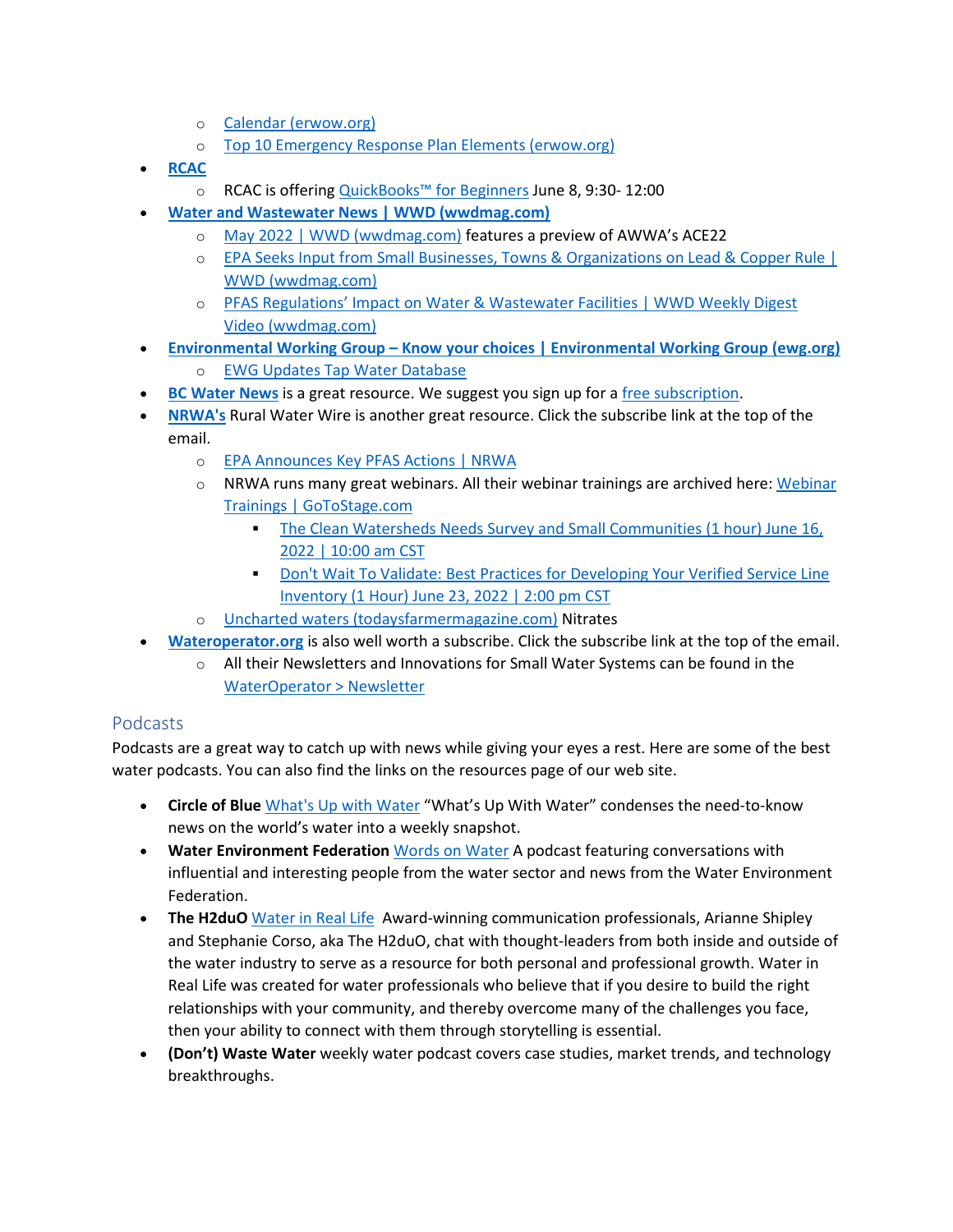- o [Calendar \(erwow.org\)](https://www.erwow.org/Training/Calendar.aspx)
- o [Top 10 Emergency Response Plan Elements \(erwow.org\)](https://www.erwow.org/News/TabId/3330/ArtMID/10750/ArticleID/56060/Top-10-Emergency-Response-Plan-Elements.aspx)
- **[RCAC](https://www.rcac.org/)**
	- o RCAC is offerin[g QuickBooks™ for Beginners](https://www.events.rcac.org/assnfe/ev.asp?ID=3221) June 8, 9:30- 12:00
- **[Water and Wastewater News | WWD \(wwdmag.com\)](https://www.wwdmag.com/)**
	- o [May 2022 | WWD \(wwdmag.com\)](https://www.wwdmag.com/may-2022) features a preview of AWWA's ACE22
	- o [EPA Seeks Input from Small Businesses, Towns & Organizations on Lead & Copper Rule |](https://www.wwdmag.com/epa-seeks-input-small-businesses-towns-organizations-lead-copper-rule)  [WWD \(wwdmag.com\)](https://www.wwdmag.com/epa-seeks-input-small-businesses-towns-organizations-lead-copper-rule)
	- o [PFAS Regulations' Impact on Water & Wastewater Facilities | WWD Weekly Digest](https://www.wwdmag.com/videos/pfas-regulations-impact-water-wastewater-facilities-wwd-weekly-digest)  [Video \(wwdmag.com\)](https://www.wwdmag.com/videos/pfas-regulations-impact-water-wastewater-facilities-wwd-weekly-digest)
- **[Environmental Working Group Know your choices | Environmental Working Group \(ewg.org\)](https://www.ewg.org/)**
	- o [EWG Updates Tap Water Database](https://www.ewg.org/tapwater/)
- **[BC Water News](http://register.bcwaternews.com/)** is a great resource. We suggest you sign up for [a free subscription.](http://register.bcwaternews.com/)
- **[NRWA's](https://mailchi.mp/7f75404cac99/nrwas-rural-water-wire-for-3045176?e=b780b0ee8b)** Rural Water Wire is another great resource. Click the subscribe link at the top of the email.
	- o [EPA Announces Key PFAS Actions | NRWA](https://content.nrwa.org/legislation/press-release/15291599/epa-announces-key-pfas-actions)
	- $\circ$  NRWA runs many great webinars. All their webinar trainings are archived here: Webinar [Trainings | GoToStage.com](https://www.gotostage.com/channel/nrwawebinars)
		- [The Clean Watersheds Needs Survey and Small Communities \(1 hour\)](https://register.gotowebinar.com/register/8253773628094145805) June 16, [2022 | 10:00 am CST](https://register.gotowebinar.com/register/8253773628094145805)
		- **Don't Wait To Validate: Best Practices for Developing Your Verified Service Line** Inventory (1 Hour) [June 23, 2022 | 2:00 pm CST](https://register.gotowebinar.com/register/6623087933091833359)
	- o [Uncharted waters \(todaysfarmermagazine.com\)](https://todaysfarmermagazine.com/mag/1770-uncharted-waters?i=waters2) Nitrates
- **[Wateroperator.org](http://wateroperator.org/)** is also well worth a subscribe. Click the subscribe link at the top of the email.
	- $\circ$  All their Newsletters and Innovations for Small Water Systems can be found in the [WaterOperator > Newsletter](http://wateroperator.org/newsletters)

## Podcasts

Podcasts are a great way to catch up with news while giving your eyes a rest. Here are some of the best water podcasts. You can also find the links on the resources page of our web site.

- **Circle of Blue** [What's Up with](https://www.circleofblue.org/water-podcasts/) Water "What's Up With Water" condenses the need-to-know news on the world's water into a weekly snapshot.
- **Water Environment Federation** [Words on Water](https://wordsonwaterwef.com/) A podcast featuring conversations with influential and interesting people from the water sector and news from the Water Environment Federation.
- **The H2duO** [Water in Real Life](https://www.theh2duo.com/) Award-winning communication professionals, Arianne Shipley and Stephanie Corso, aka The H2duO, chat with thought-leaders from both inside and outside of the water industry to serve as a resource for both personal and professional growth. Water in Real Life was created for water professionals who believe that if you desire to build the right relationships with your community, and thereby overcome many of the challenges you face, then your ability to connect with them through storytelling is essential.
- **(Don't) Waste Water** weekly water podcast covers case studies, market trends, and technology breakthroughs.